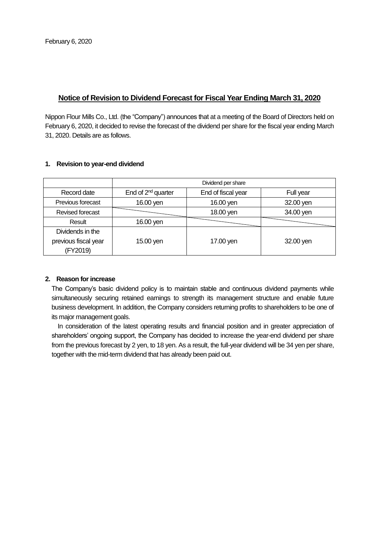# **Notice of Revision to Dividend Forecast for Fiscal Year Ending March 31, 2020**

Nippon Flour Mills Co., Ltd. (the "Company") announces that at a meeting of the Board of Directors held on February 6, 2020, it decided to revise the forecast of the dividend per share for the fiscal year ending March 31, 2020. Details are as follows.

|                      | Dividend per share             |                    |           |  |  |  |  |
|----------------------|--------------------------------|--------------------|-----------|--|--|--|--|
| Record date          | End of 2 <sup>nd</sup> quarter | End of fiscal year | Full year |  |  |  |  |
| Previous forecast    | 16.00 yen                      | 16.00 yen          | 32.00 yen |  |  |  |  |
| Revised forecast     |                                | 18.00 yen          | 34.00 yen |  |  |  |  |
| Result               | 16.00 yen                      |                    |           |  |  |  |  |
| Dividends in the     |                                |                    |           |  |  |  |  |
| previous fiscal year | 15.00 yen                      | 17.00 yen          | 32.00 yen |  |  |  |  |
| (FY2019)             |                                |                    |           |  |  |  |  |

### **1. Revision to year-end dividend**

## **2. Reason for increase**

The Company's basic dividend policy is to maintain stable and continuous dividend payments while simultaneously securing retained earnings to strength its management structure and enable future business development. In addition, the Company considers returning profits to shareholders to be one of its major management goals.

In consideration of the latest operating results and financial position and in greater appreciation of shareholders' ongoing support, the Company has decided to increase the year-end dividend per share from the previous forecast by 2 yen, to 18 yen. As a result, the full-year dividend will be 34 yen per share, together with the mid-term dividend that has already been paid out.